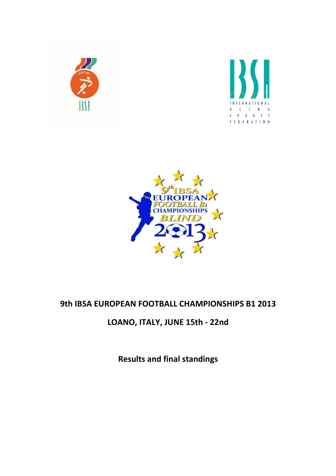





## 9th IBSA EUROPEAN FOOTBALL CHAMPIONSHIPS B1 2013

# LOANO, ITALY, JUNE 15th - 22nd

Results and final standings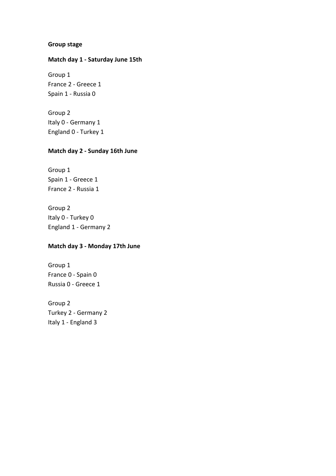#### Group stage

#### Match day 1 - Saturday June 15th

Group 1 France 2 - Greece 1 Spain 1 - Russia 0

Group 2 Italy 0 - Germany 1 England 0 - Turkey 1

#### Match day 2 - Sunday 16th June

Group 1 Spain 1 - Greece 1 France 2 - Russia 1

Group 2 Italy 0 - Turkey 0 England 1 - Germany 2

#### Match day 3 - Monday 17th June

Group 1 France 0 - Spain 0 Russia 0 - Greece 1

Group 2 Turkey 2 - Germany 2 Italy 1 - England 3